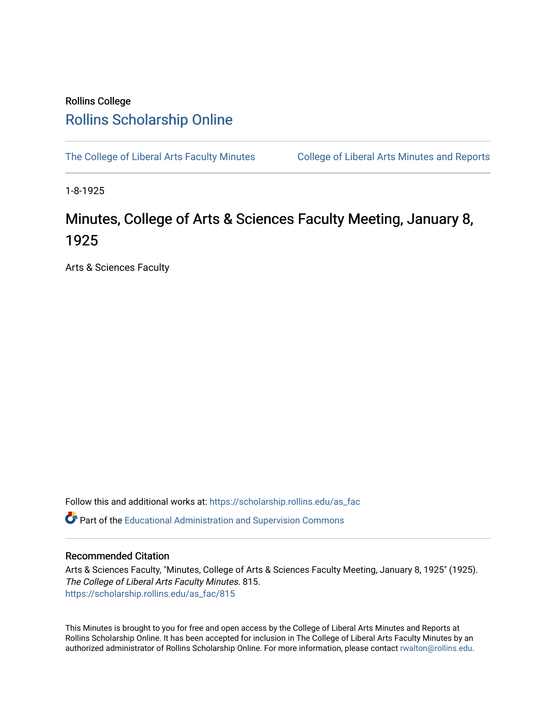## Rollins College [Rollins Scholarship Online](https://scholarship.rollins.edu/)

[The College of Liberal Arts Faculty Minutes](https://scholarship.rollins.edu/as_fac) College of Liberal Arts Minutes and Reports

1-8-1925

## Minutes, College of Arts & Sciences Faculty Meeting, January 8, 1925

Arts & Sciences Faculty

Follow this and additional works at: [https://scholarship.rollins.edu/as\\_fac](https://scholarship.rollins.edu/as_fac?utm_source=scholarship.rollins.edu%2Fas_fac%2F815&utm_medium=PDF&utm_campaign=PDFCoverPages) 

**P** Part of the [Educational Administration and Supervision Commons](http://network.bepress.com/hgg/discipline/787?utm_source=scholarship.rollins.edu%2Fas_fac%2F815&utm_medium=PDF&utm_campaign=PDFCoverPages)

## Recommended Citation

Arts & Sciences Faculty, "Minutes, College of Arts & Sciences Faculty Meeting, January 8, 1925" (1925). The College of Liberal Arts Faculty Minutes. 815. [https://scholarship.rollins.edu/as\\_fac/815](https://scholarship.rollins.edu/as_fac/815?utm_source=scholarship.rollins.edu%2Fas_fac%2F815&utm_medium=PDF&utm_campaign=PDFCoverPages) 

This Minutes is brought to you for free and open access by the College of Liberal Arts Minutes and Reports at Rollins Scholarship Online. It has been accepted for inclusion in The College of Liberal Arts Faculty Minutes by an authorized administrator of Rollins Scholarship Online. For more information, please contact [rwalton@rollins.edu](mailto:rwalton@rollins.edu).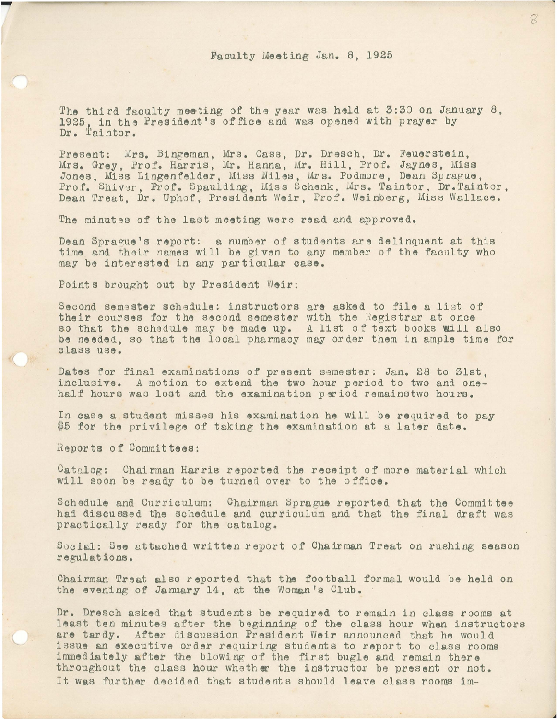The third faculty meeting of the year was held at 3:30 *on* January 8, 1925, in the President's office and was opened with prayer by Dr. Taintor.

Present: Mrs. Bingeman, Mrs. Cass, Dr. Dresch, Dr. Feuerstein, Mrs. Grey, Prof. Harris, Mr. Hanna, Mr. Hill, Prof. Jaynes, Miss Jones, Miss Lingenfelder, Miss Niles, Mrs. Podmore, Dean Sprague, Prof. Shiver, Prof. Spaulding, Miss Schenk, Mrs. Taintor, Dr.Taintor, Dean Treat, Dr. Uphof, President Weir, Prof. Weinberg, Miss Wallace.

The minutes of the last meeting were read and approved.

Dean Sprague's report: a number of students are delinquent at this time and their names will be given to any member of the faculty who may be interested in any particular case.

Points brought out by President Weir:

Second sem9ster schedule: instructors are asked to **file** a list of their courses for the second semester with the Registrar at once so that the schedule may be made up. *<sup>A</sup>*list of text books Will also be needed, so that the local pharmacy may order them in ample time for class use.

**Dates** for final examinations of present semester: Jan. 28 to 31st, inclusive. *A* motion to extend the two hour period to two and onehalf hours was lost and the examination period remainstwo hours.

In case a student misses his examination he will be required to pay \$5 for the privilege of taking the examination at a later date.

Reports of Commit **tees:** 

---------------~

 $Catalo$ g: Chairman Harris reported the receipt of more material which will soon be ready to be turned over to the office.

Schedule and Curriculum: Chairman Sprague reported that the Committee had discussed the schedule and curriculum and that the final draft was practically ready for the catalog.

Social: See attached written report of Chairman Treat on rushing season regulations.

Chairman Treat also reported that the football formal would be held *on*  the evening of January 14, at the Woman's Club.

Dr. Dresch asked that students be required to remain in class rooms at least ten minutes after the beginning of the class hour when instructors are tardy. After discussion President Weir announced that he would issue an executive order requiring students to report to class rooms immediately after the blowing of the first bugle and remain there throughout the class hour whoth **er** the instructor be present or not. It was further decided that students should leave class rooms im-